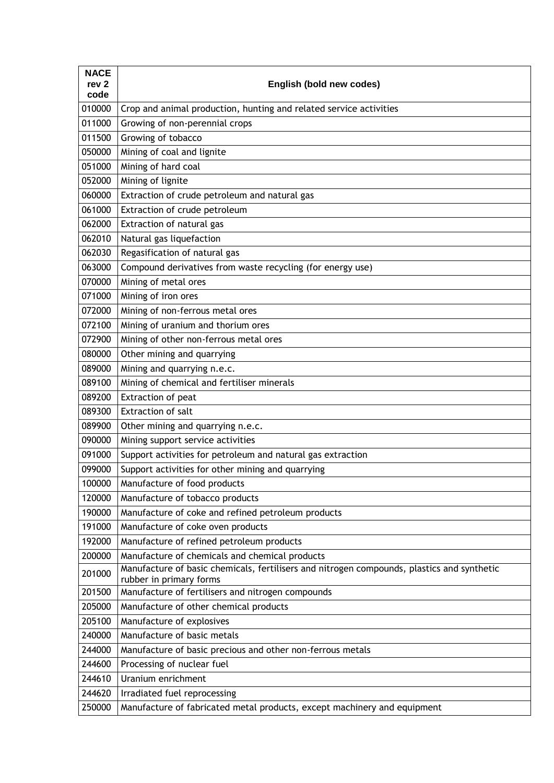| <b>NACE</b><br>rev <sub>2</sub><br>code | English (bold new codes)                                                                                              |
|-----------------------------------------|-----------------------------------------------------------------------------------------------------------------------|
| 010000                                  | Crop and animal production, hunting and related service activities                                                    |
| 011000                                  | Growing of non-perennial crops                                                                                        |
| 011500                                  | Growing of tobacco                                                                                                    |
| 050000                                  | Mining of coal and lignite                                                                                            |
| 051000                                  | Mining of hard coal                                                                                                   |
| 052000                                  | Mining of lignite                                                                                                     |
| 060000                                  | Extraction of crude petroleum and natural gas                                                                         |
| 061000                                  | Extraction of crude petroleum                                                                                         |
| 062000                                  | Extraction of natural gas                                                                                             |
| 062010                                  | Natural gas liquefaction                                                                                              |
| 062030                                  | Regasification of natural gas                                                                                         |
| 063000                                  | Compound derivatives from waste recycling (for energy use)                                                            |
| 070000                                  | Mining of metal ores                                                                                                  |
| 071000                                  | Mining of iron ores                                                                                                   |
| 072000                                  | Mining of non-ferrous metal ores                                                                                      |
| 072100                                  | Mining of uranium and thorium ores                                                                                    |
| 072900                                  | Mining of other non-ferrous metal ores                                                                                |
| 080000                                  | Other mining and quarrying                                                                                            |
| 089000                                  | Mining and quarrying n.e.c.                                                                                           |
| 089100                                  | Mining of chemical and fertiliser minerals                                                                            |
| 089200                                  | Extraction of peat                                                                                                    |
| 089300                                  | Extraction of salt                                                                                                    |
| 089900                                  | Other mining and quarrying n.e.c.                                                                                     |
| 090000                                  | Mining support service activities                                                                                     |
| 091000                                  | Support activities for petroleum and natural gas extraction                                                           |
| 099000                                  | Support activities for other mining and quarrying                                                                     |
| 100000                                  | Manufacture of food products                                                                                          |
| 120000                                  | Manufacture of tobacco products                                                                                       |
| 190000                                  | Manufacture of coke and refined petroleum products                                                                    |
| 191000                                  | Manufacture of coke oven products                                                                                     |
| 192000                                  | Manufacture of refined petroleum products                                                                             |
| 200000                                  | Manufacture of chemicals and chemical products                                                                        |
| 201000                                  | Manufacture of basic chemicals, fertilisers and nitrogen compounds, plastics and synthetic<br>rubber in primary forms |
| 201500                                  | Manufacture of fertilisers and nitrogen compounds                                                                     |
| 205000                                  | Manufacture of other chemical products                                                                                |
| 205100                                  | Manufacture of explosives                                                                                             |
| 240000                                  | Manufacture of basic metals                                                                                           |
| 244000                                  | Manufacture of basic precious and other non-ferrous metals                                                            |
| 244600                                  | Processing of nuclear fuel                                                                                            |
| 244610                                  | Uranium enrichment                                                                                                    |
| 244620                                  | Irradiated fuel reprocessing                                                                                          |
| 250000                                  | Manufacture of fabricated metal products, except machinery and equipment                                              |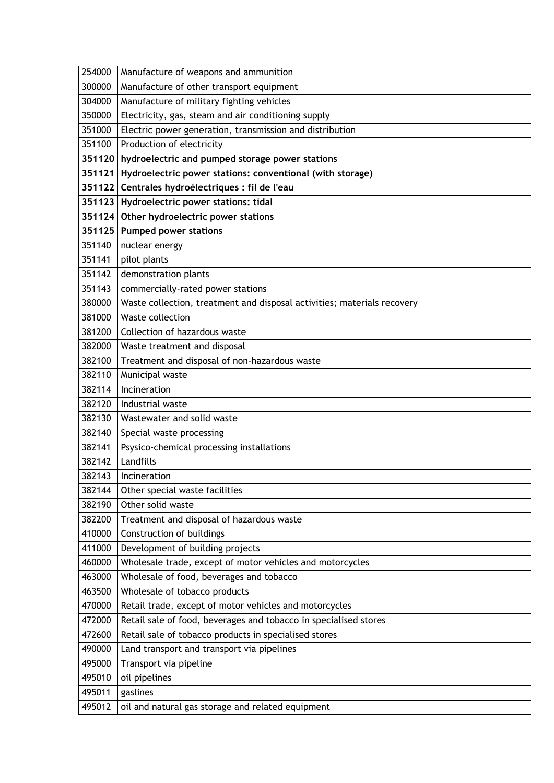| 254000 | Manufacture of weapons and ammunition                                   |
|--------|-------------------------------------------------------------------------|
| 300000 | Manufacture of other transport equipment                                |
| 304000 | Manufacture of military fighting vehicles                               |
| 350000 | Electricity, gas, steam and air conditioning supply                     |
| 351000 | Electric power generation, transmission and distribution                |
| 351100 | Production of electricity                                               |
|        | 351120 hydroelectric and pumped storage power stations                  |
|        | 351121   Hydroelectric power stations: conventional (with storage)      |
|        | 351122 Centrales hydroélectriques : fil de l'eau                        |
|        | 351123 Hydroelectric power stations: tidal                              |
|        | 351124 Other hydroelectric power stations                               |
|        | 351125 Pumped power stations                                            |
| 351140 | nuclear energy                                                          |
| 351141 | pilot plants                                                            |
| 351142 | demonstration plants                                                    |
| 351143 | commercially-rated power stations                                       |
| 380000 | Waste collection, treatment and disposal activities; materials recovery |
| 381000 | Waste collection                                                        |
| 381200 | Collection of hazardous waste                                           |
| 382000 | Waste treatment and disposal                                            |
| 382100 | Treatment and disposal of non-hazardous waste                           |
| 382110 | Municipal waste                                                         |
| 382114 | Incineration                                                            |
| 382120 | Industrial waste                                                        |
| 382130 | Wastewater and solid waste                                              |
| 382140 | Special waste processing                                                |
| 382141 | Psysico-chemical processing installations                               |
| 382142 | Landfills                                                               |
| 382143 | Incineration                                                            |
| 382144 | Other special waste facilities                                          |
| 382190 | Other solid waste                                                       |
| 382200 | Treatment and disposal of hazardous waste                               |
| 410000 | Construction of buildings                                               |
| 411000 | Development of building projects                                        |
| 460000 | Wholesale trade, except of motor vehicles and motorcycles               |
| 463000 | Wholesale of food, beverages and tobacco                                |
| 463500 | Wholesale of tobacco products                                           |
| 470000 | Retail trade, except of motor vehicles and motorcycles                  |
| 472000 | Retail sale of food, beverages and tobacco in specialised stores        |
| 472600 | Retail sale of tobacco products in specialised stores                   |
| 490000 | Land transport and transport via pipelines                              |
| 495000 | Transport via pipeline                                                  |
| 495010 | oil pipelines                                                           |
| 495011 | gaslines                                                                |
|        |                                                                         |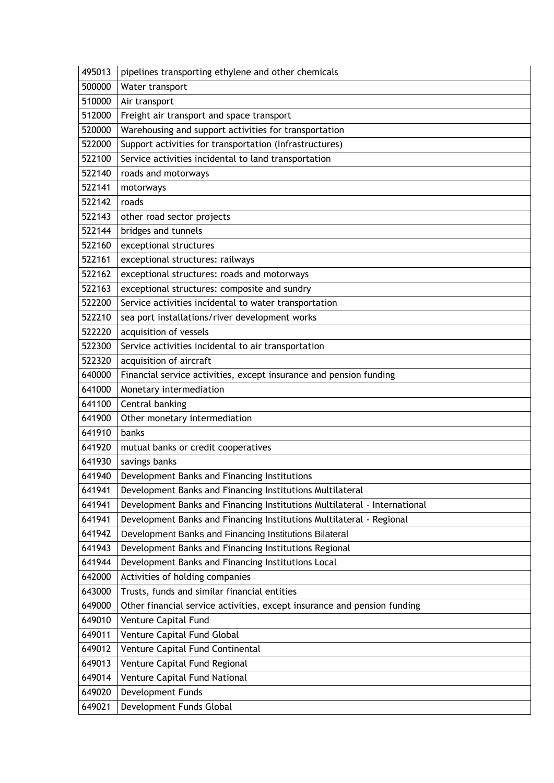| 495013 | pipelines transporting ethylene and other chemicals                       |
|--------|---------------------------------------------------------------------------|
| 500000 | Water transport                                                           |
| 510000 | Air transport                                                             |
| 512000 | Freight air transport and space transport                                 |
| 520000 | Warehousing and support activities for transportation                     |
| 522000 | Support activities for transportation (Infrastructures)                   |
| 522100 | Service activities incidental to land transportation                      |
| 522140 | roads and motorways                                                       |
| 522141 | motorways                                                                 |
| 522142 | roads                                                                     |
| 522143 | other road sector projects                                                |
| 522144 | bridges and tunnels                                                       |
| 522160 | exceptional structures                                                    |
| 522161 | exceptional structures: railways                                          |
| 522162 | exceptional structures: roads and motorways                               |
| 522163 | exceptional structures: composite and sundry                              |
| 522200 | Service activities incidental to water transportation                     |
| 522210 | sea port installations/river development works                            |
| 522220 | acquisition of vessels                                                    |
| 522300 | Service activities incidental to air transportation                       |
| 522320 | acquisition of aircraft                                                   |
| 640000 | Financial service activities, except insurance and pension funding        |
| 641000 | Monetary intermediation                                                   |
| 641100 | Central banking                                                           |
| 641900 | Other monetary intermediation                                             |
| 641910 | banks                                                                     |
| 641920 | mutual banks or credit cooperatives                                       |
| 641930 | savings banks                                                             |
| 641940 | Development Banks and Financing Institutions                              |
| 641941 | Development Banks and Financing Institutions Multilateral                 |
| 641941 | Development Banks and Financing Institutions Multilateral - International |
| 641941 | Development Banks and Financing Institutions Multilateral - Regional      |
| 641942 | Development Banks and Financing Institutions Bilateral                    |
| 641943 | Development Banks and Financing Institutions Regional                     |
| 641944 | Development Banks and Financing Institutions Local                        |
| 642000 | Activities of holding companies                                           |
| 643000 | Trusts, funds and similar financial entities                              |
| 649000 | Other financial service activities, except insurance and pension funding  |
| 649010 | Venture Capital Fund                                                      |
| 649011 | Venture Capital Fund Global                                               |
| 649012 | Venture Capital Fund Continental                                          |
| 649013 | Venture Capital Fund Regional                                             |
| 649014 | Venture Capital Fund National                                             |
| 649020 | Development Funds                                                         |
| 649021 | Development Funds Global                                                  |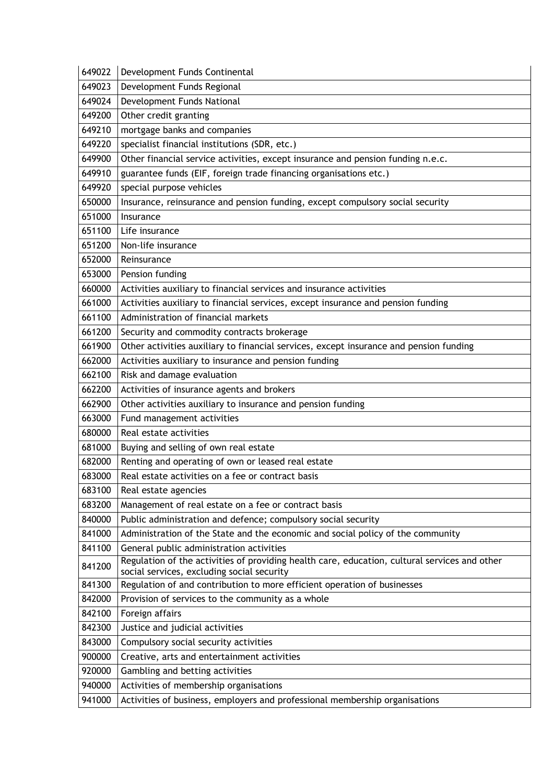| 649023 | Development Funds Regional                                                                                                                  |
|--------|---------------------------------------------------------------------------------------------------------------------------------------------|
| 649024 | Development Funds National                                                                                                                  |
| 649200 | Other credit granting                                                                                                                       |
| 649210 | mortgage banks and companies                                                                                                                |
| 649220 | specialist financial institutions (SDR, etc.)                                                                                               |
| 649900 | Other financial service activities, except insurance and pension funding n.e.c.                                                             |
| 649910 | guarantee funds (EIF, foreign trade financing organisations etc.)                                                                           |
| 649920 | special purpose vehicles                                                                                                                    |
| 650000 | Insurance, reinsurance and pension funding, except compulsory social security                                                               |
| 651000 | Insurance                                                                                                                                   |
| 651100 | Life insurance                                                                                                                              |
| 651200 | Non-life insurance                                                                                                                          |
| 652000 | Reinsurance                                                                                                                                 |
| 653000 | Pension funding                                                                                                                             |
| 660000 | Activities auxiliary to financial services and insurance activities                                                                         |
| 661000 | Activities auxiliary to financial services, except insurance and pension funding                                                            |
| 661100 | Administration of financial markets                                                                                                         |
| 661200 | Security and commodity contracts brokerage                                                                                                  |
| 661900 | Other activities auxiliary to financial services, except insurance and pension funding                                                      |
| 662000 | Activities auxiliary to insurance and pension funding                                                                                       |
| 662100 | Risk and damage evaluation                                                                                                                  |
| 662200 | Activities of insurance agents and brokers                                                                                                  |
| 662900 | Other activities auxiliary to insurance and pension funding                                                                                 |
| 663000 | Fund management activities                                                                                                                  |
| 680000 | Real estate activities                                                                                                                      |
| 681000 | Buying and selling of own real estate                                                                                                       |
| 682000 | Renting and operating of own or leased real estate                                                                                          |
| 683000 | Real estate activities on a fee or contract basis                                                                                           |
| 683100 | Real estate agencies                                                                                                                        |
| 683200 | Management of real estate on a fee or contract basis                                                                                        |
| 840000 | Public administration and defence; compulsory social security                                                                               |
| 841000 | Administration of the State and the economic and social policy of the community                                                             |
| 841100 | General public administration activities                                                                                                    |
| 841200 | Regulation of the activities of providing health care, education, cultural services and other<br>social services, excluding social security |
| 841300 | Regulation of and contribution to more efficient operation of businesses                                                                    |
| 842000 | Provision of services to the community as a whole                                                                                           |
| 842100 | Foreign affairs                                                                                                                             |
| 842300 | Justice and judicial activities                                                                                                             |
| 843000 | Compulsory social security activities                                                                                                       |
| 900000 | Creative, arts and entertainment activities                                                                                                 |
| 920000 | Gambling and betting activities                                                                                                             |
| 940000 | Activities of membership organisations                                                                                                      |
|        |                                                                                                                                             |